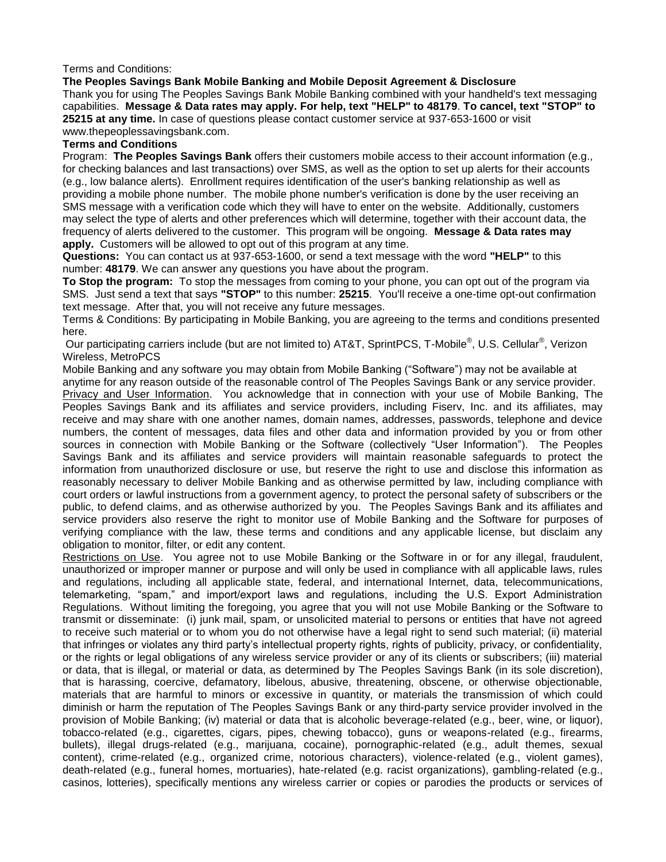#### Terms and Conditions:

#### **The Peoples Savings Bank Mobile Banking and Mobile Deposit Agreement & Disclosure**

Thank you for using The Peoples Savings Bank Mobile Banking combined with your handheld's text messaging capabilities. **Message & Data rates may apply. For help, text "HELP" to 48179**. **To cancel, text "STOP" to 25215 at any time.** In case of questions please contact customer service at 937-653-1600 or visit www.thepeoplessavingsbank.com.

#### **Terms and Conditions**

Program: **The Peoples Savings Bank** offers their customers mobile access to their account information (e.g., for checking balances and last transactions) over SMS, as well as the option to set up alerts for their accounts (e.g., low balance alerts). Enrollment requires identification of the user's banking relationship as well as providing a mobile phone number. The mobile phone number's verification is done by the user receiving an SMS message with a verification code which they will have to enter on the website. Additionally, customers may select the type of alerts and other preferences which will determine, together with their account data, the frequency of alerts delivered to the customer. This program will be ongoing. **Message & Data rates may apply.** Customers will be allowed to opt out of this program at any time.

**Questions:** You can contact us at 937-653-1600, or send a text message with the word **"HELP"** to this number: **48179**. We can answer any questions you have about the program.

**To Stop the program:** To stop the messages from coming to your phone, you can opt out of the program via SMS. Just send a text that says **"STOP"** to this number: **25215**. You'll receive a one-time opt-out confirmation text message. After that, you will not receive any future messages.

Terms & Conditions: By participating in Mobile Banking, you are agreeing to the terms and conditions presented here.

Our participating carriers include (but are not limited to) AT&T, SprintPCS, T-Mobile<sup>®</sup>, U.S. Cellular<sup>®</sup>, Verizon Wireless, MetroPCS

Mobile Banking and any software you may obtain from Mobile Banking ("Software") may not be available at

anytime for any reason outside of the reasonable control of The Peoples Savings Bank or any service provider. Privacy and User Information. You acknowledge that in connection with your use of Mobile Banking, The Peoples Savings Bank and its affiliates and service providers, including Fiserv, Inc. and its affiliates, may receive and may share with one another names, domain names, addresses, passwords, telephone and device numbers, the content of messages, data files and other data and information provided by you or from other sources in connection with Mobile Banking or the Software (collectively "User Information"). The Peoples Savings Bank and its affiliates and service providers will maintain reasonable safeguards to protect the information from unauthorized disclosure or use, but reserve the right to use and disclose this information as reasonably necessary to deliver Mobile Banking and as otherwise permitted by law, including compliance with court orders or lawful instructions from a government agency, to protect the personal safety of subscribers or the public, to defend claims, and as otherwise authorized by you. The Peoples Savings Bank and its affiliates and service providers also reserve the right to monitor use of Mobile Banking and the Software for purposes of verifying compliance with the law, these terms and conditions and any applicable license, but disclaim any obligation to monitor, filter, or edit any content.

Restrictions on Use. You agree not to use Mobile Banking or the Software in or for any illegal, fraudulent, unauthorized or improper manner or purpose and will only be used in compliance with all applicable laws, rules and regulations, including all applicable state, federal, and international Internet, data, telecommunications, telemarketing, "spam," and import/export laws and regulations, including the U.S. Export Administration Regulations. Without limiting the foregoing, you agree that you will not use Mobile Banking or the Software to transmit or disseminate: (i) junk mail, spam, or unsolicited material to persons or entities that have not agreed to receive such material or to whom you do not otherwise have a legal right to send such material; (ii) material that infringes or violates any third party's intellectual property rights, rights of publicity, privacy, or confidentiality, or the rights or legal obligations of any wireless service provider or any of its clients or subscribers; (iii) material or data, that is illegal, or material or data, as determined by The Peoples Savings Bank (in its sole discretion), that is harassing, coercive, defamatory, libelous, abusive, threatening, obscene, or otherwise objectionable, materials that are harmful to minors or excessive in quantity, or materials the transmission of which could diminish or harm the reputation of The Peoples Savings Bank or any third-party service provider involved in the provision of Mobile Banking; (iv) material or data that is alcoholic beverage-related (e.g., beer, wine, or liquor), tobacco-related (e.g., cigarettes, cigars, pipes, chewing tobacco), guns or weapons-related (e.g., firearms, bullets), illegal drugs-related (e.g., marijuana, cocaine), pornographic-related (e.g., adult themes, sexual content), crime-related (e.g., organized crime, notorious characters), violence-related (e.g., violent games), death-related (e.g., funeral homes, mortuaries), hate-related (e.g. racist organizations), gambling-related (e.g., casinos, lotteries), specifically mentions any wireless carrier or copies or parodies the products or services of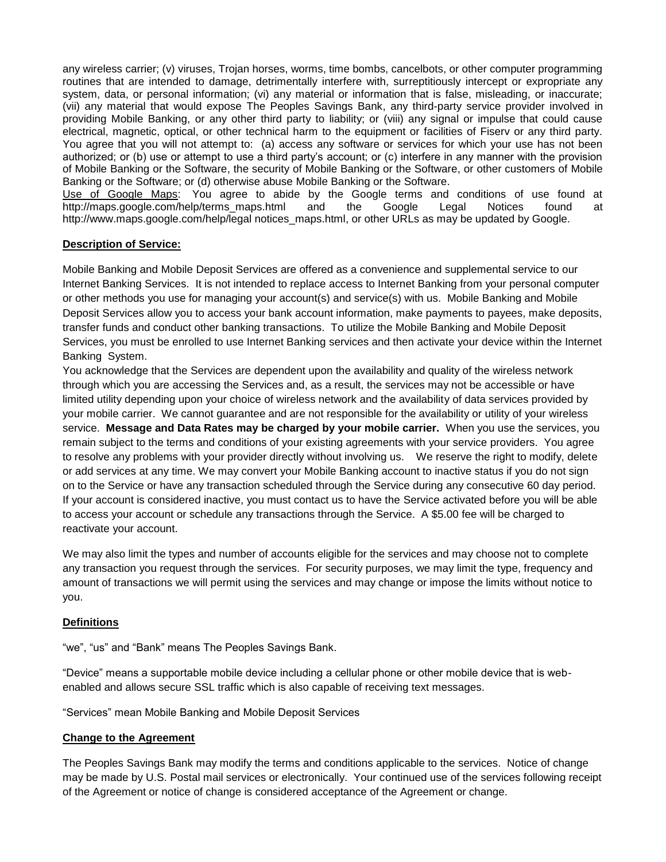any wireless carrier; (v) viruses, Trojan horses, worms, time bombs, cancelbots, or other computer programming routines that are intended to damage, detrimentally interfere with, surreptitiously intercept or expropriate any system, data, or personal information; (vi) any material or information that is false, misleading, or inaccurate; (vii) any material that would expose The Peoples Savings Bank, any third-party service provider involved in providing Mobile Banking, or any other third party to liability; or (viii) any signal or impulse that could cause electrical, magnetic, optical, or other technical harm to the equipment or facilities of Fiserv or any third party. You agree that you will not attempt to: (a) access any software or services for which your use has not been authorized; or (b) use or attempt to use a third party's account; or (c) interfere in any manner with the provision of Mobile Banking or the Software, the security of Mobile Banking or the Software, or other customers of Mobile Banking or the Software; or (d) otherwise abuse Mobile Banking or the Software.

Use of Google Maps: You agree to abide by the Google terms and conditions of use found at [http://maps.google.com/help/terms\\_maps.html](http://maps.google.com/help/terms_maps.html) and the Google Legal Notices found at [http://www.maps.google.com/help/legal notices\\_maps.html,](http://www.maps.google.com/help/legal%20notices_maps.html) or other URLs as may be updated by Google.

#### **Description of Service:**

Mobile Banking and Mobile Deposit Services are offered as a convenience and supplemental service to our Internet Banking Services. It is not intended to replace access to Internet Banking from your personal computer or other methods you use for managing your account(s) and service(s) with us. Mobile Banking and Mobile Deposit Services allow you to access your bank account information, make payments to payees, make deposits, transfer funds and conduct other banking transactions. To utilize the Mobile Banking and Mobile Deposit Services, you must be enrolled to use Internet Banking services and then activate your device within the Internet Banking System.

You acknowledge that the Services are dependent upon the availability and quality of the wireless network through which you are accessing the Services and, as a result, the services may not be accessible or have limited utility depending upon your choice of wireless network and the availability of data services provided by your mobile carrier. We cannot guarantee and are not responsible for the availability or utility of your wireless service. **Message and Data Rates may be charged by your mobile carrier.** When you use the services, you remain subject to the terms and conditions of your existing agreements with your service providers. You agree to resolve any problems with your provider directly without involving us. We reserve the right to modify, delete or add services at any time. We may convert your Mobile Banking account to inactive status if you do not sign on to the Service or have any transaction scheduled through the Service during any consecutive 60 day period. If your account is considered inactive, you must contact us to have the Service activated before you will be able to access your account or schedule any transactions through the Service. A \$5.00 fee will be charged to reactivate your account.

We may also limit the types and number of accounts eligible for the services and may choose not to complete any transaction you request through the services. For security purposes, we may limit the type, frequency and amount of transactions we will permit using the services and may change or impose the limits without notice to you.

## **Definitions**

"we", "us" and "Bank" means The Peoples Savings Bank.

"Device" means a supportable mobile device including a cellular phone or other mobile device that is webenabled and allows secure SSL traffic which is also capable of receiving text messages.

"Services" mean Mobile Banking and Mobile Deposit Services

#### **Change to the Agreement**

The Peoples Savings Bank may modify the terms and conditions applicable to the services. Notice of change may be made by U.S. Postal mail services or electronically. Your continued use of the services following receipt of the Agreement or notice of change is considered acceptance of the Agreement or change.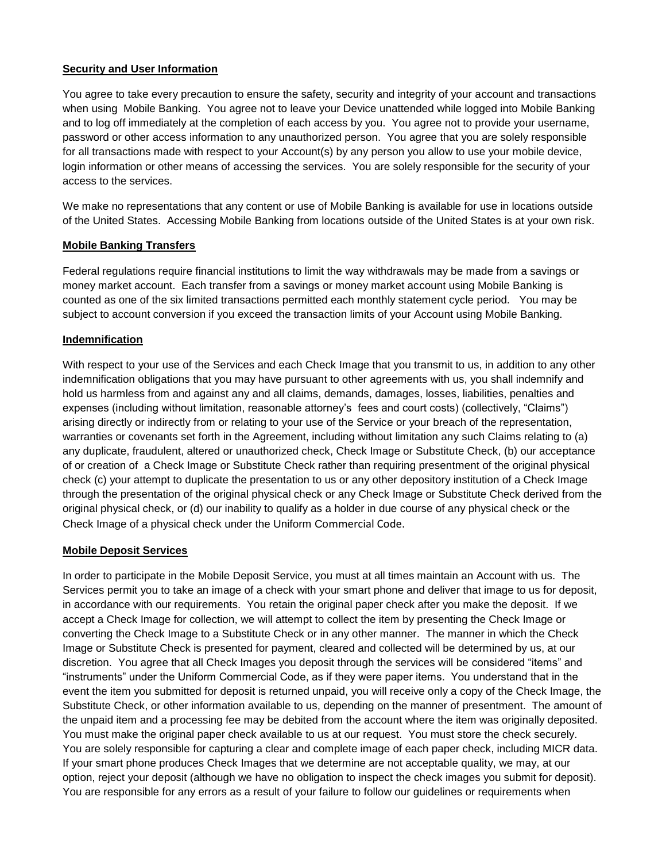## **Security and User Information**

You agree to take every precaution to ensure the safety, security and integrity of your account and transactions when using Mobile Banking. You agree not to leave your Device unattended while logged into Mobile Banking and to log off immediately at the completion of each access by you. You agree not to provide your username, password or other access information to any unauthorized person. You agree that you are solely responsible for all transactions made with respect to your Account(s) by any person you allow to use your mobile device, login information or other means of accessing the services. You are solely responsible for the security of your access to the services.

We make no representations that any content or use of Mobile Banking is available for use in locations outside of the United States. Accessing Mobile Banking from locations outside of the United States is at your own risk.

# **Mobile Banking Transfers**

Federal regulations require financial institutions to limit the way withdrawals may be made from a savings or money market account. Each transfer from a savings or money market account using Mobile Banking is counted as one of the six limited transactions permitted each monthly statement cycle period. You may be subject to account conversion if you exceed the transaction limits of your Account using Mobile Banking.

## **Indemnification**

With respect to your use of the Services and each Check Image that you transmit to us, in addition to any other indemnification obligations that you may have pursuant to other agreements with us, you shall indemnify and hold us harmless from and against any and all claims, demands, damages, losses, liabilities, penalties and expenses (including without limitation, reasonable attorney's fees and court costs) (collectively, "Claims") arising directly or indirectly from or relating to your use of the Service or your breach of the representation, warranties or covenants set forth in the Agreement, including without limitation any such Claims relating to (a) any duplicate, fraudulent, altered or unauthorized check, Check Image or Substitute Check, (b) our acceptance of or creation of a Check Image or Substitute Check rather than requiring presentment of the original physical check (c) your attempt to duplicate the presentation to us or any other depository institution of a Check Image through the presentation of the original physical check or any Check Image or Substitute Check derived from the original physical check, or (d) our inability to qualify as a holder in due course of any physical check or the Check Image of a physical check under the Uniform Commercial Code.

## **Mobile Deposit Services**

In order to participate in the Mobile Deposit Service, you must at all times maintain an Account with us. The Services permit you to take an image of a check with your smart phone and deliver that image to us for deposit, in accordance with our requirements. You retain the original paper check after you make the deposit. If we accept a Check Image for collection, we will attempt to collect the item by presenting the Check Image or converting the Check Image to a Substitute Check or in any other manner. The manner in which the Check Image or Substitute Check is presented for payment, cleared and collected will be determined by us, at our discretion. You agree that all Check Images you deposit through the services will be considered "items" and "instruments" under the Uniform Commercial Code, as if they were paper items. You understand that in the event the item you submitted for deposit is returned unpaid, you will receive only a copy of the Check Image, the Substitute Check, or other information available to us, depending on the manner of presentment. The amount of the unpaid item and a processing fee may be debited from the account where the item was originally deposited. You must make the original paper check available to us at our request. You must store the check securely. You are solely responsible for capturing a clear and complete image of each paper check, including MICR data. If your smart phone produces Check Images that we determine are not acceptable quality, we may, at our option, reject your deposit (although we have no obligation to inspect the check images you submit for deposit). You are responsible for any errors as a result of your failure to follow our guidelines or requirements when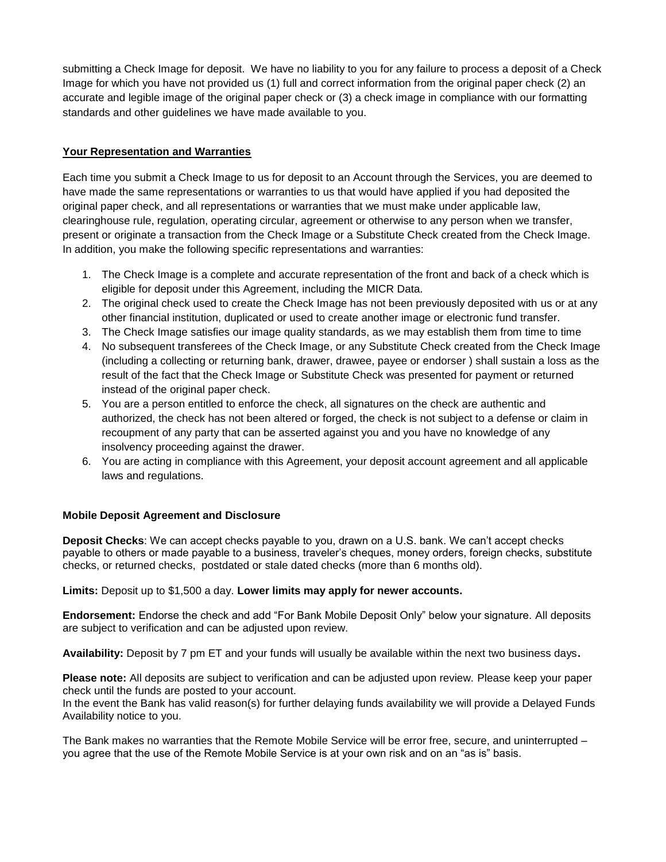submitting a Check Image for deposit. We have no liability to you for any failure to process a deposit of a Check Image for which you have not provided us (1) full and correct information from the original paper check (2) an accurate and legible image of the original paper check or (3) a check image in compliance with our formatting standards and other guidelines we have made available to you.

# **Your Representation and Warranties**

Each time you submit a Check Image to us for deposit to an Account through the Services, you are deemed to have made the same representations or warranties to us that would have applied if you had deposited the original paper check, and all representations or warranties that we must make under applicable law, clearinghouse rule, regulation, operating circular, agreement or otherwise to any person when we transfer, present or originate a transaction from the Check Image or a Substitute Check created from the Check Image. In addition, you make the following specific representations and warranties:

- 1. The Check Image is a complete and accurate representation of the front and back of a check which is eligible for deposit under this Agreement, including the MICR Data.
- 2. The original check used to create the Check Image has not been previously deposited with us or at any other financial institution, duplicated or used to create another image or electronic fund transfer.
- 3. The Check Image satisfies our image quality standards, as we may establish them from time to time
- 4. No subsequent transferees of the Check Image, or any Substitute Check created from the Check Image (including a collecting or returning bank, drawer, drawee, payee or endorser ) shall sustain a loss as the result of the fact that the Check Image or Substitute Check was presented for payment or returned instead of the original paper check.
- 5. You are a person entitled to enforce the check, all signatures on the check are authentic and authorized, the check has not been altered or forged, the check is not subject to a defense or claim in recoupment of any party that can be asserted against you and you have no knowledge of any insolvency proceeding against the drawer.
- 6. You are acting in compliance with this Agreement, your deposit account agreement and all applicable laws and regulations.

## **Mobile Deposit Agreement and Disclosure**

**Deposit Checks**: We can accept checks payable to you, drawn on a U.S. bank. We can't accept checks payable to others or made payable to a business, traveler's cheques, money orders, foreign checks, substitute checks, or returned checks, postdated or stale dated checks (more than 6 months old).

**Limits:** Deposit up to \$1,500 a day. **Lower limits may apply for newer accounts.**

**Endorsement:** Endorse the check and add "For Bank Mobile Deposit Only" below your signature. All deposits are subject to verification and can be adjusted upon review.

**Availability:** Deposit by 7 pm ET and your funds will usually be available within the next two business days**.** 

**Please note:** All deposits are subject to verification and can be adjusted upon review. Please keep your paper check until the funds are posted to your account.

In the event the Bank has valid reason(s) for further delaying funds availability we will provide a Delayed Funds Availability notice to you.

The Bank makes no warranties that the Remote Mobile Service will be error free, secure, and uninterrupted – you agree that the use of the Remote Mobile Service is at your own risk and on an "as is" basis.